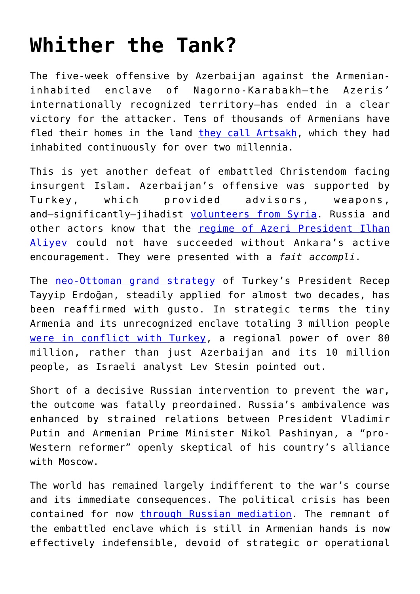## **[Whither the Tank?](https://intellectualtakeout.org/2020/12/whither-the-tank/)**

The five-week offensive by Azerbaijan against the Armenianinhabited enclave of Nagorno-Karabakh—the Azeris' internationally recognized territory—has ended in a clear victory for the attacker. Tens of thousands of Armenians have fled their homes in the land [they call Artsakh](https://en.wikipedia.org/wiki/Republic_of_Artsakh), which they had inhabited continuously for over two millennia.

This is yet another defeat of embattled Christendom facing insurgent Islam. Azerbaijan's offensive was supported by Turkey, which provided advisors, weapons, and-significantly-jihadist [volunteers from Syria](https://observers.france24.com/en/20201026-videos-shared-social-media-show-syrians-sent-fight-nagorno-karabakh). Russia and other actors know that the [regime of Azeri President Ilhan](https://www.bbc.com/news/av/world-europe-54865589) [Aliyev](https://www.bbc.com/news/av/world-europe-54865589) could not have succeeded without Ankara's active encouragement. They were presented with a *fait accompli*.

The [neo-Ottoman grand strategy](https://www.researchgate.net/publication/315649301_Turkey_as_a_regional_power_Neo-Ottomanism_in_action/fulltext/58d7c864a6fdcc1baeb3ce4e/Turkey-as-a-regional-power-Neo-Ottomanism-in-action.pdf) of Turkey's President Recep Tayyip Erdoğan, steadily applied for almost two decades, has been reaffirmed with gusto. In strategic terms the tiny Armenia and its unrecognized enclave totaling 3 million people [were in conflict with Turkey](https://besacenter.org/perspectives-papers/nagorno-karabakh-caucasus), a regional power of over 80 million, rather than just Azerbaijan and its 10 million people, as Israeli analyst Lev Stesin pointed out.

Short of a decisive Russian intervention to prevent the war, the outcome was fatally preordained. Russia's ambivalence was enhanced by strained relations between President Vladimir Putin and Armenian Prime Minister Nikol Pashinyan, a "pro-Western reformer" openly skeptical of his country's alliance with Moscow.

The world has remained largely indifferent to the war's course and its immediate consequences. The political crisis has been contained for now [through Russian mediation.](https://en.wikipedia.org/wiki/2020_Nagorno-Karabakh_ceasefire_agreement) The remnant of the embattled enclave which is still in Armenian hands is now effectively indefensible, devoid of strategic or operational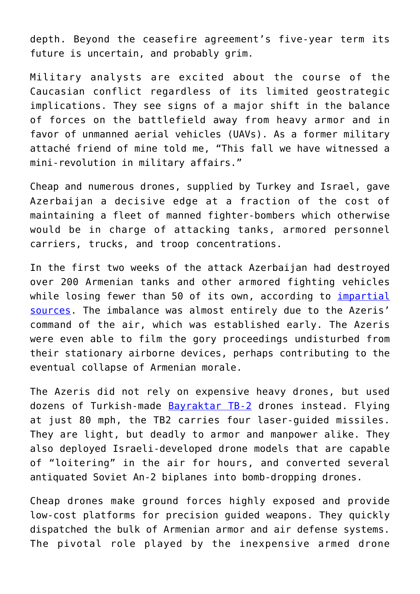depth. Beyond the ceasefire agreement's five-year term its future is uncertain, and probably grim.

Military analysts are excited about the course of the Caucasian conflict regardless of its limited geostrategic implications. They see signs of a major shift in the balance of forces on the battlefield away from heavy armor and in favor of unmanned aerial vehicles (UAVs). As a former military attaché friend of mine told me, "This fall we have witnessed a mini-revolution in military affairs."

Cheap and numerous drones, supplied by Turkey and Israel, gave Azerbaijan a decisive edge at a fraction of the cost of maintaining a fleet of manned fighter-bombers which otherwise would be in charge of attacking tanks, armored personnel carriers, trucks, and troop concentrations.

In the first two weeks of the attack Azerbaijan had destroyed over 200 Armenian tanks and other armored fighting vehicles while losing fewer than 50 of its own, according to *impartial* [sources.](https://www.oryxspioenkop.com/2020/09/the-fight-for-nagorno-karabakh.html) The imbalance was almost entirely due to the Azeris' command of the air, which was established early. The Azeris were even able to film the gory proceedings undisturbed from their stationary airborne devices, perhaps contributing to the eventual collapse of Armenian morale.

The Azeris did not rely on expensive heavy drones, but used dozens of Turkish-made [Bayraktar TB-2](https://www.youtube.com/watch?v=dGh_eKr9M1M) drones instead. Flying at just 80 mph, the TB2 carries four laser-guided missiles. They are light, but deadly to armor and manpower alike. They also deployed Israeli-developed drone models that are capable of "loitering" in the air for hours, and converted several antiquated Soviet An-2 biplanes into bomb-dropping drones.

Cheap drones make ground forces highly exposed and provide low-cost platforms for precision guided weapons. They quickly dispatched the bulk of Armenian armor and air defense systems. The pivotal role played by the inexpensive armed drone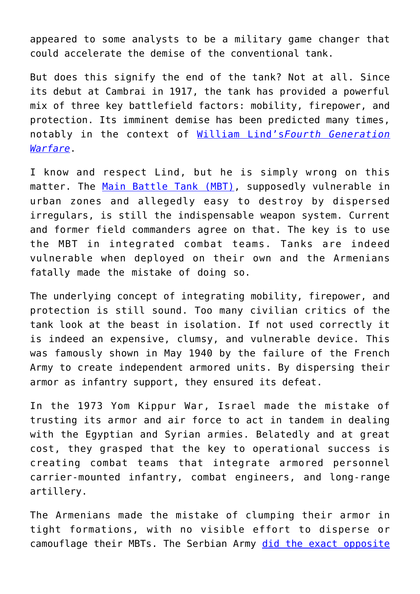appeared to some analysts to be a military game changer that could accelerate the demise of the conventional tank.

But does this signify the end of the tank? Not at all. Since its debut at Cambrai in 1917, the tank has provided a powerful mix of three key battlefield factors: mobility, firepower, and protection. Its imminent demise has been predicted many times, notably in the context of [William Lind's](https://www.amazon.com/Generation-Warfare-Handbook-William-Lind-ebook/dp/B017IP1JM2)*[Fourth Generation](https://www.amazon.com/Generation-Warfare-Handbook-William-Lind-ebook/dp/B017IP1JM2) [Warfare](https://www.amazon.com/Generation-Warfare-Handbook-William-Lind-ebook/dp/B017IP1JM2)*.

I know and respect Lind, but he is simply wrong on this matter. The [Main Battle Tank \(MBT\)](https://www.youtube.com/watch?v=W8HVOBzg2pE), supposedly vulnerable in urban zones and allegedly easy to destroy by dispersed irregulars, is still the indispensable weapon system. Current and former field commanders agree on that. The key is to use the MBT in integrated combat teams. Tanks are indeed vulnerable when deployed on their own and the Armenians fatally made the mistake of doing so.

The underlying concept of integrating mobility, firepower, and protection is still sound. Too many civilian critics of the tank look at the beast in isolation. If not used correctly it is indeed an expensive, clumsy, and vulnerable device. This was famously shown in May 1940 by the failure of the French Army to create independent armored units. By dispersing their armor as infantry support, they ensured its defeat.

In the 1973 Yom Kippur War, Israel made the mistake of trusting its armor and air force to act in tandem in dealing with the Egyptian and Syrian armies. Belatedly and at great cost, they grasped that the key to operational success is creating combat teams that integrate armored personnel carrier-mounted infantry, combat engineers, and long-range artillery.

The Armenians made the mistake of clumping their armor in tight formations, with no visible effort to disperse or camouflage their MBTs. The Serbian Army [did the exact opposite](https://www.jstor.org/stable/40389186?seq=1)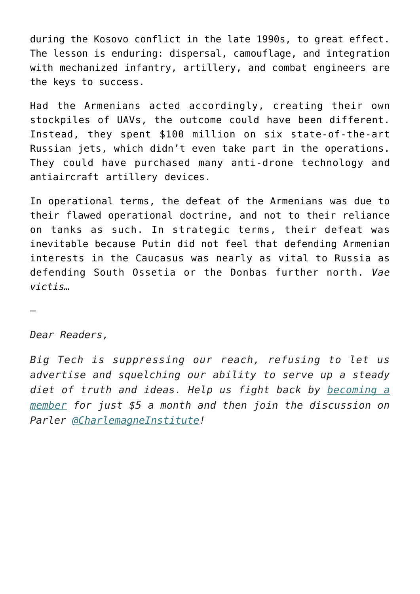during the Kosovo conflict in the late 1990s, to great effect. The lesson is enduring: dispersal, camouflage, and integration with mechanized infantry, artillery, and combat engineers are the keys to success.

Had the Armenians acted accordingly, creating their own stockpiles of UAVs, the outcome could have been different. Instead, they spent \$100 million on six state-of-the-art Russian jets, which didn't even take part in the operations. They could have purchased many anti-drone technology and antiaircraft artillery devices.

In operational terms, the defeat of the Armenians was due to their flawed operational doctrine, and not to their reliance on tanks as such. In strategic terms, their defeat was inevitable because Putin did not feel that defending Armenian interests in the Caucasus was nearly as vital to Russia as defending South Ossetia or the Donbas further north. *Vae victis…*

—

## *Dear Readers,*

*Big Tech is suppressing our reach, refusing to let us advertise and squelching our ability to serve up a steady diet of truth and ideas. Help us fight back by [becoming a](https://www.chroniclesmagazine.org/subscribe/) [member](https://www.chroniclesmagazine.org/subscribe/) for just \$5 a month and then join the discussion on Parler [@CharlemagneInstitute!](https://parler.com/profile/CharlemagneInstitute)*